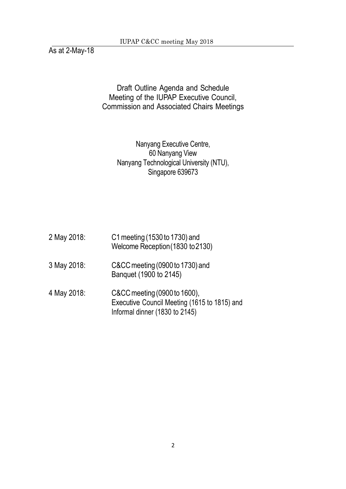As at 2-May-18

Draft Outline Agenda and Schedule Meeting of the IUPAP Executive Council, Commission and Associated Chairs Meetings

## Nanyang Executive Centre, 60 Nanyang View Nanyang Technological University (NTU), Singapore 639673

| 2 May 2018: | C1 meeting (1530 to 1730) and<br>Welcome Reception (1830 to 2130)                                              |
|-------------|----------------------------------------------------------------------------------------------------------------|
| 3 May 2018: | C&CC meeting (0900 to 1730) and<br>Banquet (1900 to 2145)                                                      |
| 4 May 2018: | C&CC meeting (0900 to 1600),<br>Executive Council Meeting (1615 to 1815) and<br>Informal dinner (1830 to 2145) |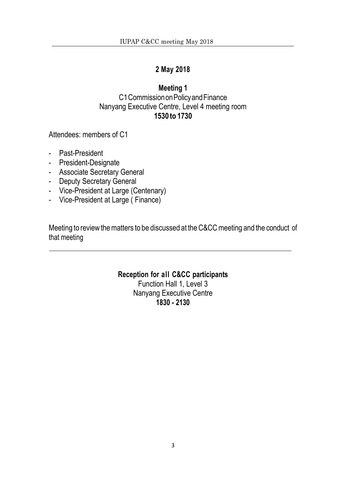### **2 May 2018**

## **Meeting 1** C1CommissiononPolicyandFinance Nanyang Executive Centre, Level 4 meeting room **1530 to 1730**

Attendees: members of C1

- Past-President
- President-Designate
- Associate Secretary General
- Deputy Secretary General
- Vice-President at Large (Centenary)
- Vice-President at Large ( Finance)

Meeting to review the matters to be discussed at the C&CC meeting and the conduct of that meeting

> **Reception for all C&CC participants** Function Hall 1, Level 3

Nanyang Executive Centre **1830 - 2130**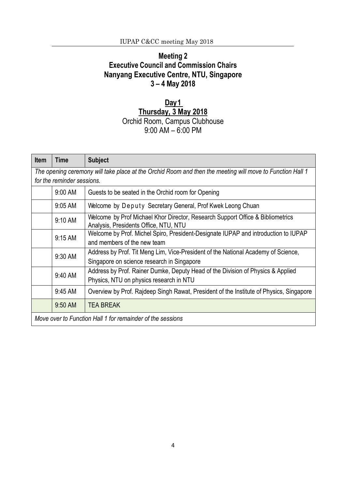# **Meeting 2 Executive Council and Commission Chairs Nanyang Executive Centre, NTU, Singapore 3 – 4 May 2018**

# **Day1 Thursday, 3 May 2018** Orchid Room, Campus Clubhouse 9:00 AM – 6:00 PM

| <b>Item</b>                                                | Time                                                                                                      | <b>Subject</b>                                                                                                          |  |
|------------------------------------------------------------|-----------------------------------------------------------------------------------------------------------|-------------------------------------------------------------------------------------------------------------------------|--|
|                                                            | The opening ceremony will take place at the Orchid Room and then the meeting will move to Function Hall 1 |                                                                                                                         |  |
|                                                            | for the reminder sessions.                                                                                |                                                                                                                         |  |
|                                                            | 9:00 AM                                                                                                   | Guests to be seated in the Orchid room for Opening                                                                      |  |
|                                                            | 9:05 AM                                                                                                   | Welcome by Deputy Secretary General, Prof Kwek Leong Chuan                                                              |  |
|                                                            | 9:10 AM                                                                                                   | Welcome by Prof Michael Khor Director, Research Support Office & Bibliometrics<br>Analysis, Presidents Office, NTU, NTU |  |
|                                                            | $9:15$ AM                                                                                                 | Welcome by Prof. Michel Spiro, President-Designate IUPAP and introduction to IUPAP                                      |  |
|                                                            |                                                                                                           | and members of the new team                                                                                             |  |
|                                                            | 9:30 AM                                                                                                   | Address by Prof. Tit Meng Lim, Vice-President of the National Academy of Science,                                       |  |
|                                                            |                                                                                                           | Singapore on science research in Singapore                                                                              |  |
|                                                            | 9:40 AM                                                                                                   | Address by Prof. Rainer Dumke, Deputy Head of the Division of Physics & Applied                                         |  |
|                                                            |                                                                                                           | Physics, NTU on physics research in NTU                                                                                 |  |
|                                                            | 9:45 AM                                                                                                   | Overview by Prof. Rajdeep Singh Rawat, President of the Institute of Physics, Singapore                                 |  |
|                                                            | 9:50 AM                                                                                                   | <b>TEA BREAK</b>                                                                                                        |  |
| Move over to Function Hall 1 for remainder of the sessions |                                                                                                           |                                                                                                                         |  |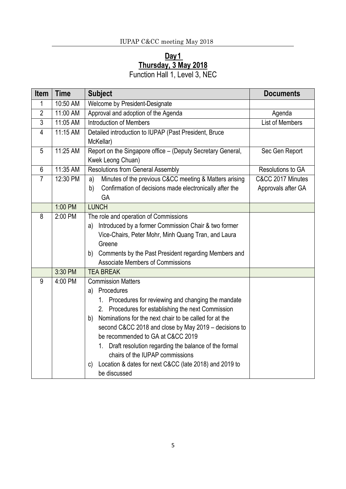# **Day1 Thursday, 3 May 2018**

Function Hall 1, Level 3, NEC

| <b>Item</b>    | <b>Time</b> | <b>Subject</b>                                                | <b>Documents</b>       |
|----------------|-------------|---------------------------------------------------------------|------------------------|
| 1              | 10:50 AM    | Welcome by President-Designate                                |                        |
| $\overline{2}$ | $11:00$ AM  | Approval and adoption of the Agenda                           | Agenda                 |
| $\overline{3}$ | 11:05 AM    | <b>Introduction of Members</b>                                | <b>List of Members</b> |
| 4              | 11:15 AM    | Detailed introduction to IUPAP (Past President, Bruce         |                        |
|                |             | McKellar)                                                     |                        |
| 5              | 11:25 AM    | Report on the Singapore office - (Deputy Secretary General,   | Sec Gen Report         |
|                |             | Kwek Leong Chuan)                                             |                        |
| $6\,$          | 11:35 AM    | <b>Resolutions from General Assembly</b>                      | Resolutions to GA      |
| $\overline{7}$ | 12:30 PM    | Minutes of the previous C&CC meeting & Matters arising<br>a)  | C&CC 2017 Minutes      |
|                |             | Confirmation of decisions made electronically after the<br>b) | Approvals after GA     |
|                |             | GA                                                            |                        |
|                | 1:00 PM     | <b>LUNCH</b>                                                  |                        |
| 8              | 2:00 PM     | The role and operation of Commissions                         |                        |
|                |             | Introduced by a former Commission Chair & two former<br>a)    |                        |
|                |             | Vice-Chairs, Peter Mohr, Minh Quang Tran, and Laura           |                        |
|                |             | Greene                                                        |                        |
|                |             | b) Comments by the Past President regarding Members and       |                        |
|                |             | <b>Associate Members of Commissions</b>                       |                        |
|                | 3:30 PM     | <b>TEA BREAK</b>                                              |                        |
| 9              | 4:00 PM     | <b>Commission Matters</b>                                     |                        |
|                |             | Procedures<br>a)                                              |                        |
|                |             | 1. Procedures for reviewing and changing the mandate          |                        |
|                |             | 2. Procedures for establishing the next Commission            |                        |
|                |             | Nominations for the next chair to be called for at the<br>b)  |                        |
|                |             | second C&CC 2018 and close by May 2019 - decisions to         |                        |
|                |             | be recommended to GA at C&CC 2019                             |                        |
|                |             | 1. Draft resolution regarding the balance of the formal       |                        |
|                |             | chairs of the IUPAP commissions                               |                        |
|                |             | Location & dates for next C&CC (late 2018) and 2019 to<br>C)  |                        |
|                |             | be discussed                                                  |                        |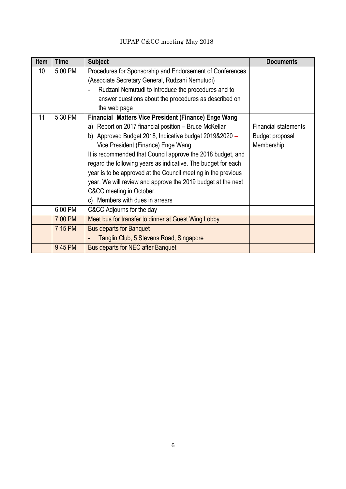| <b>Item</b> | Time      | <b>Subject</b>                                                                                                                                                                                                                                                                                                                                                                                                                                                                                                                                | <b>Documents</b>                                             |
|-------------|-----------|-----------------------------------------------------------------------------------------------------------------------------------------------------------------------------------------------------------------------------------------------------------------------------------------------------------------------------------------------------------------------------------------------------------------------------------------------------------------------------------------------------------------------------------------------|--------------------------------------------------------------|
| 10          | 5:00 PM   | Procedures for Sponsorship and Endorsement of Conferences<br>(Associate Secretary General, Rudzani Nemutudi)<br>Rudzani Nemutudi to introduce the procedures and to<br>answer questions about the procedures as described on<br>the web page                                                                                                                                                                                                                                                                                                  |                                                              |
| 11          | 5:30 PM   | Financial Matters Vice President (Finance) Enge Wang<br>a) Report on 2017 financial position – Bruce McKellar<br>b) Approved Budget 2018, Indicative budget 2019&2020 -<br>Vice President (Finance) Enge Wang<br>It is recommended that Council approve the 2018 budget, and<br>regard the following years as indicative. The budget for each<br>year is to be approved at the Council meeting in the previous<br>year. We will review and approve the 2019 budget at the next<br>C&CC meeting in October.<br>c) Members with dues in arrears | <b>Financial statements</b><br>Budget proposal<br>Membership |
|             | 6:00 PM   | C&CC Adjourns for the day                                                                                                                                                                                                                                                                                                                                                                                                                                                                                                                     |                                                              |
|             | 7:00 PM   | Meet bus for transfer to dinner at Guest Wing Lobby                                                                                                                                                                                                                                                                                                                                                                                                                                                                                           |                                                              |
|             | $7:15$ PM | <b>Bus departs for Banquet</b><br>Tanglin Club, 5 Stevens Road, Singapore                                                                                                                                                                                                                                                                                                                                                                                                                                                                     |                                                              |
|             | 9:45 PM   | <b>Bus departs for NEC after Banquet</b>                                                                                                                                                                                                                                                                                                                                                                                                                                                                                                      |                                                              |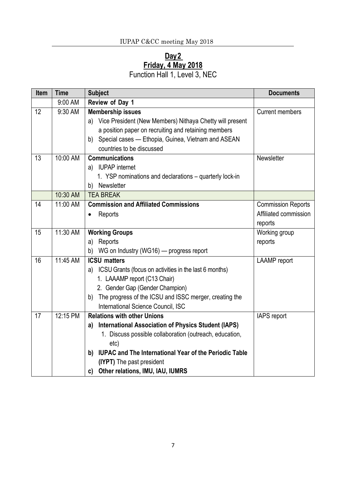#### **Day2 Friday, 4 May 2018**

Function Hall 1, Level 3, NEC

| <b>Item</b> | <b>Time</b> | <b>Subject</b>                                                                                                                                                                                                                                                                                      | <b>Documents</b>                                              |
|-------------|-------------|-----------------------------------------------------------------------------------------------------------------------------------------------------------------------------------------------------------------------------------------------------------------------------------------------------|---------------------------------------------------------------|
|             | 9:00 AM     | Review of Day 1                                                                                                                                                                                                                                                                                     |                                                               |
| 12          | 9:30 AM     | <b>Membership issues</b><br>a) Vice President (New Members) Nithaya Chetty will present<br>a position paper on recruiting and retaining members<br>b) Special cases - Ethopia, Guinea, Vietnam and ASEAN<br>countries to be discussed                                                               | <b>Current members</b>                                        |
| 13          | 10:00 AM    | <b>Communications</b><br>a) IUPAP internet<br>1. YSP nominations and declarations – quarterly lock-in<br>b) Newsletter                                                                                                                                                                              | Newsletter                                                    |
|             | 10:30 AM    | <b>TEA BREAK</b>                                                                                                                                                                                                                                                                                    |                                                               |
| 14          | 11:00 AM    | <b>Commission and Affiliated Commissions</b><br>Reports                                                                                                                                                                                                                                             | <b>Commission Reports</b><br>Affiliated commission<br>reports |
| 15          | 11:30 AM    | <b>Working Groups</b><br>a) Reports<br>WG on Industry (WG16) - progress report<br>b)                                                                                                                                                                                                                | Working group<br>reports                                      |
| 16          | 11:45 AM    | <b>ICSU</b> matters<br>a) ICSU Grants (focus on activities in the last 6 months)<br>1. LAAAMP report (C13 Chair)<br>2. Gender Gap (Gender Champion)<br>b) The progress of the ICSU and ISSC merger, creating the<br>International Science Council, ISC                                              | <b>LAAMP</b> report                                           |
| 17          | 12:15 PM    | <b>Relations with other Unions</b><br>a) International Association of Physics Student (IAPS)<br>1. Discuss possible collaboration (outreach, education,<br>etc)<br>b) IUPAC and The International Year of the Periodic Table<br>(IYPT) The past president<br>Other relations, IMU, IAU, IUMRS<br>c) | IAPS report                                                   |